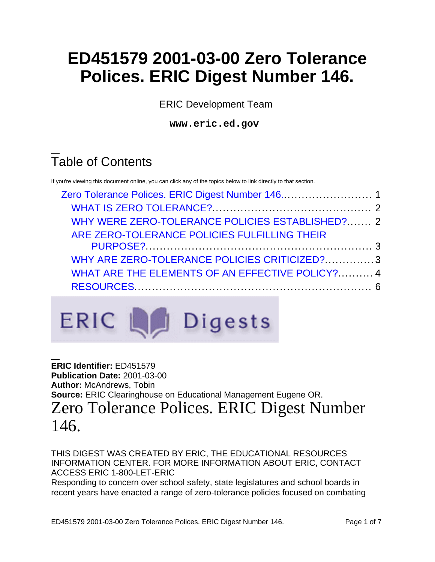# **ED451579 2001-03-00 Zero Tolerance Polices. ERIC Digest Number 146.**

ERIC Development Team

**www.eric.ed.gov**

## Table of Contents

If you're viewing this document online, you can click any of the topics below to link directly to that section.

| WHY WERE ZERO-TOLERANCE POLICIES ESTABLISHED? 2                                  |  |
|----------------------------------------------------------------------------------|--|
| ARE ZERO-TOLERANCE POLICIES FULFILLING THEIR                                     |  |
|                                                                                  |  |
| WHY ARE ZERO-TOLERANCE POLICIES CRITICIZED?3                                     |  |
| WHAT ARE THE ELEMENTS OF AN EFFECTIVE POLICY? 4                                  |  |
|                                                                                  |  |
| ,我们的人们就会在这里的人们,我们也不会在这里的人们,我们也不会在这里的人们,我们也不会在这里的人们,我们也不会在这里的人们,我们也不会在这里的人们,我们也不会 |  |



<span id="page-0-0"></span>**ERIC Identifier:** ED451579 **Publication Date:** 2001-03-00 **Author:** McAndrews, Tobin **Source:** ERIC Clearinghouse on Educational Management Eugene OR. Zero Tolerance Polices. ERIC Digest Number 146.

THIS DIGEST WAS CREATED BY ERIC, THE EDUCATIONAL RESOURCES INFORMATION CENTER. FOR MORE INFORMATION ABOUT ERIC, CONTACT ACCESS ERIC 1-800-LET-ERIC

Responding to concern over school safety, state legislatures and school boards in recent years have enacted a range of zero-tolerance policies focused on combating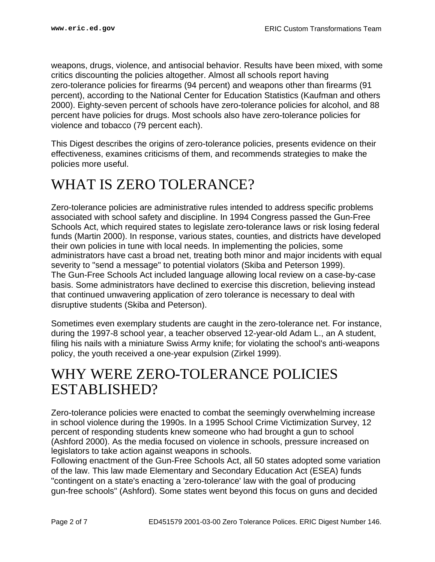weapons, drugs, violence, and antisocial behavior. Results have been mixed, with some critics discounting the policies altogether. Almost all schools report having zero-tolerance policies for firearms (94 percent) and weapons other than firearms (91 percent), according to the National Center for Education Statistics (Kaufman and others 2000). Eighty-seven percent of schools have zero-tolerance policies for alcohol, and 88 percent have policies for drugs. Most schools also have zero-tolerance policies for violence and tobacco (79 percent each).

This Digest describes the origins of zero-tolerance policies, presents evidence on their effectiveness, examines criticisms of them, and recommends strategies to make the policies more useful.

### <span id="page-1-0"></span>WHAT IS ZERO TOLERANCE?

Zero-tolerance policies are administrative rules intended to address specific problems associated with school safety and discipline. In 1994 Congress passed the Gun-Free Schools Act, which required states to legislate zero-tolerance laws or risk losing federal funds (Martin 2000). In response, various states, counties, and districts have developed their own policies in tune with local needs. In implementing the policies, some administrators have cast a broad net, treating both minor and major incidents with equal severity to "send a message" to potential violators (Skiba and Peterson 1999). The Gun-Free Schools Act included language allowing local review on a case-by-case basis. Some administrators have declined to exercise this discretion, believing instead that continued unwavering application of zero tolerance is necessary to deal with disruptive students (Skiba and Peterson).

Sometimes even exemplary students are caught in the zero-tolerance net. For instance, during the 1997-8 school year, a teacher observed 12-year-old Adam L., an A student, filing his nails with a miniature Swiss Army knife; for violating the school's anti-weapons policy, the youth received a one-year expulsion (Zirkel 1999).

#### <span id="page-1-1"></span>WHY WERE ZERO-TOLERANCE POLICIES ESTABLISHED?

Zero-tolerance policies were enacted to combat the seemingly overwhelming increase in school violence during the 1990s. In a 1995 School Crime Victimization Survey, 12 percent of responding students knew someone who had brought a gun to school (Ashford 2000). As the media focused on violence in schools, pressure increased on legislators to take action against weapons in schools.

Following enactment of the Gun-Free Schools Act, all 50 states adopted some variation of the law. This law made Elementary and Secondary Education Act (ESEA) funds "contingent on a state's enacting a 'zero-tolerance' law with the goal of producing gun-free schools" (Ashford). Some states went beyond this focus on guns and decided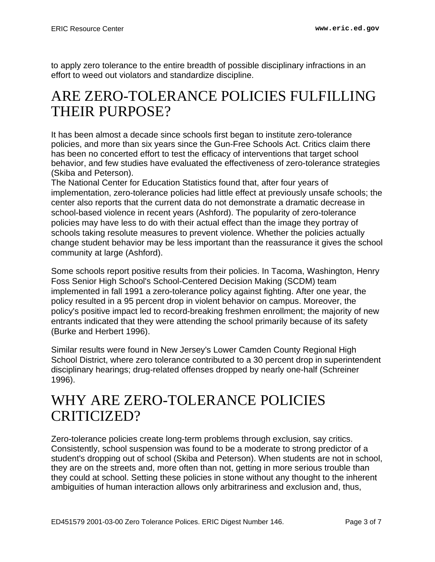to apply zero tolerance to the entire breadth of possible disciplinary infractions in an effort to weed out violators and standardize discipline.

### <span id="page-2-0"></span>ARE ZERO-TOLERANCE POLICIES FULFILLING THEIR PURPOSE?

It has been almost a decade since schools first began to institute zero-tolerance policies, and more than six years since the Gun-Free Schools Act. Critics claim there has been no concerted effort to test the efficacy of interventions that target school behavior, and few studies have evaluated the effectiveness of zero-tolerance strategies (Skiba and Peterson).

The National Center for Education Statistics found that, after four years of implementation, zero-tolerance policies had little effect at previously unsafe schools; the center also reports that the current data do not demonstrate a dramatic decrease in school-based violence in recent years (Ashford). The popularity of zero-tolerance policies may have less to do with their actual effect than the image they portray of schools taking resolute measures to prevent violence. Whether the policies actually change student behavior may be less important than the reassurance it gives the school community at large (Ashford).

Some schools report positive results from their policies. In Tacoma, Washington, Henry Foss Senior High School's School-Centered Decision Making (SCDM) team implemented in fall 1991 a zero-tolerance policy against fighting. After one year, the policy resulted in a 95 percent drop in violent behavior on campus. Moreover, the policy's positive impact led to record-breaking freshmen enrollment; the majority of new entrants indicated that they were attending the school primarily because of its safety (Burke and Herbert 1996).

Similar results were found in New Jersey's Lower Camden County Regional High School District, where zero tolerance contributed to a 30 percent drop in superintendent disciplinary hearings; drug-related offenses dropped by nearly one-half (Schreiner 1996).

#### <span id="page-2-1"></span>WHY ARE ZERO-TOLERANCE POLICIES CRITICIZED?

Zero-tolerance policies create long-term problems through exclusion, say critics. Consistently, school suspension was found to be a moderate to strong predictor of a student's dropping out of school (Skiba and Peterson). When students are not in school, they are on the streets and, more often than not, getting in more serious trouble than they could at school. Setting these policies in stone without any thought to the inherent ambiguities of human interaction allows only arbitrariness and exclusion and, thus,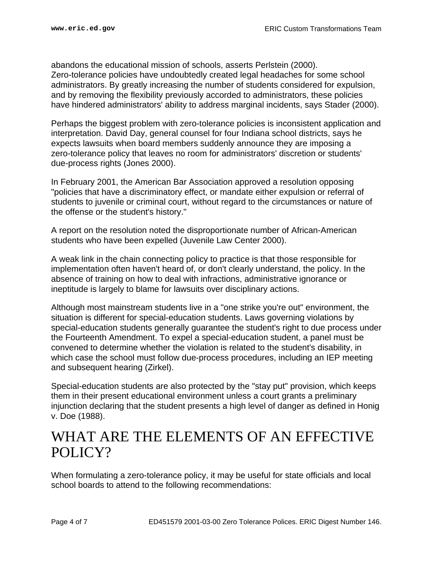abandons the educational mission of schools, asserts Perlstein (2000). Zero-tolerance policies have undoubtedly created legal headaches for some school administrators. By greatly increasing the number of students considered for expulsion, and by removing the flexibility previously accorded to administrators, these policies have hindered administrators' ability to address marginal incidents, says Stader (2000).

Perhaps the biggest problem with zero-tolerance policies is inconsistent application and interpretation. David Day, general counsel for four Indiana school districts, says he expects lawsuits when board members suddenly announce they are imposing a zero-tolerance policy that leaves no room for administrators' discretion or students' due-process rights (Jones 2000).

In February 2001, the American Bar Association approved a resolution opposing "policies that have a discriminatory effect, or mandate either expulsion or referral of students to juvenile or criminal court, without regard to the circumstances or nature of the offense or the student's history."

A report on the resolution noted the disproportionate number of African-American students who have been expelled (Juvenile Law Center 2000).

A weak link in the chain connecting policy to practice is that those responsible for implementation often haven't heard of, or don't clearly understand, the policy. In the absence of training on how to deal with infractions, administrative ignorance or ineptitude is largely to blame for lawsuits over disciplinary actions.

Although most mainstream students live in a "one strike you're out" environment, the situation is different for special-education students. Laws governing violations by special-education students generally guarantee the student's right to due process under the Fourteenth Amendment. To expel a special-education student, a panel must be convened to determine whether the violation is related to the student's disability, in which case the school must follow due-process procedures, including an IEP meeting and subsequent hearing (Zirkel).

Special-education students are also protected by the "stay put" provision, which keeps them in their present educational environment unless a court grants a preliminary injunction declaring that the student presents a high level of danger as defined in Honig v. Doe (1988).

#### <span id="page-3-0"></span>WHAT ARE THE ELEMENTS OF AN EFFECTIVE POLICY?

When formulating a zero-tolerance policy, it may be useful for state officials and local school boards to attend to the following recommendations: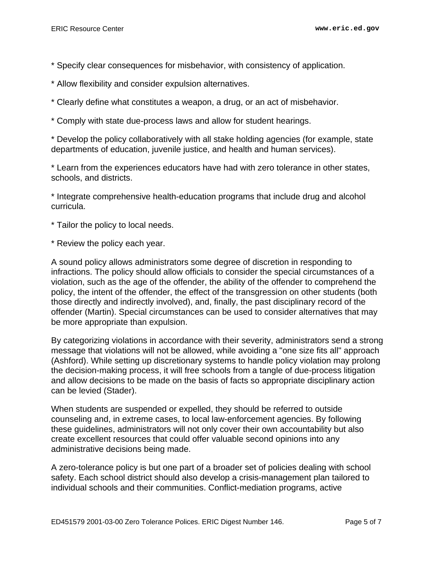- \* Specify clear consequences for misbehavior, with consistency of application.
- \* Allow flexibility and consider expulsion alternatives.
- \* Clearly define what constitutes a weapon, a drug, or an act of misbehavior.
- \* Comply with state due-process laws and allow for student hearings.

\* Develop the policy collaboratively with all stake holding agencies (for example, state departments of education, juvenile justice, and health and human services).

\* Learn from the experiences educators have had with zero tolerance in other states, schools, and districts.

\* Integrate comprehensive health-education programs that include drug and alcohol curricula.

- \* Tailor the policy to local needs.
- \* Review the policy each year.

A sound policy allows administrators some degree of discretion in responding to infractions. The policy should allow officials to consider the special circumstances of a violation, such as the age of the offender, the ability of the offender to comprehend the policy, the intent of the offender, the effect of the transgression on other students (both those directly and indirectly involved), and, finally, the past disciplinary record of the offender (Martin). Special circumstances can be used to consider alternatives that may be more appropriate than expulsion.

By categorizing violations in accordance with their severity, administrators send a strong message that violations will not be allowed, while avoiding a "one size fits all" approach (Ashford). While setting up discretionary systems to handle policy violation may prolong the decision-making process, it will free schools from a tangle of due-process litigation and allow decisions to be made on the basis of facts so appropriate disciplinary action can be levied (Stader).

When students are suspended or expelled, they should be referred to outside counseling and, in extreme cases, to local law-enforcement agencies. By following these guidelines, administrators will not only cover their own accountability but also create excellent resources that could offer valuable second opinions into any administrative decisions being made.

A zero-tolerance policy is but one part of a broader set of policies dealing with school safety. Each school district should also develop a crisis-management plan tailored to individual schools and their communities. Conflict-mediation programs, active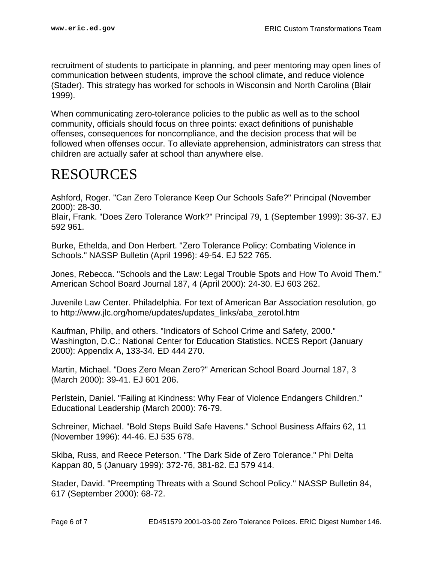recruitment of students to participate in planning, and peer mentoring may open lines of communication between students, improve the school climate, and reduce violence (Stader). This strategy has worked for schools in Wisconsin and North Carolina (Blair 1999).

When communicating zero-tolerance policies to the public as well as to the school community, officials should focus on three points: exact definitions of punishable offenses, consequences for noncompliance, and the decision process that will be followed when offenses occur. To alleviate apprehension, administrators can stress that children are actually safer at school than anywhere else.

#### <span id="page-5-0"></span>RESOURCES

Ashford, Roger. "Can Zero Tolerance Keep Our Schools Safe?" Principal (November 2000): 28-30.

Blair, Frank. "Does Zero Tolerance Work?" Principal 79, 1 (September 1999): 36-37. EJ 592 961.

Burke, Ethelda, and Don Herbert. "Zero Tolerance Policy: Combating Violence in Schools." NASSP Bulletin (April 1996): 49-54. EJ 522 765.

Jones, Rebecca. "Schools and the Law: Legal Trouble Spots and How To Avoid Them." American School Board Journal 187, 4 (April 2000): 24-30. EJ 603 262.

Juvenile Law Center. Philadelphia. For text of American Bar Association resolution, go to http://www.jlc.org/home/updates/updates\_links/aba\_zerotol.htm

Kaufman, Philip, and others. "Indicators of School Crime and Safety, 2000." Washington, D.C.: National Center for Education Statistics. NCES Report (January 2000): Appendix A, 133-34. ED 444 270.

Martin, Michael. "Does Zero Mean Zero?" American School Board Journal 187, 3 (March 2000): 39-41. EJ 601 206.

Perlstein, Daniel. "Failing at Kindness: Why Fear of Violence Endangers Children." Educational Leadership (March 2000): 76-79.

Schreiner, Michael. "Bold Steps Build Safe Havens." School Business Affairs 62, 11 (November 1996): 44-46. EJ 535 678.

Skiba, Russ, and Reece Peterson. "The Dark Side of Zero Tolerance." Phi Delta Kappan 80, 5 (January 1999): 372-76, 381-82. EJ 579 414.

Stader, David. "Preempting Threats with a Sound School Policy." NASSP Bulletin 84, 617 (September 2000): 68-72.